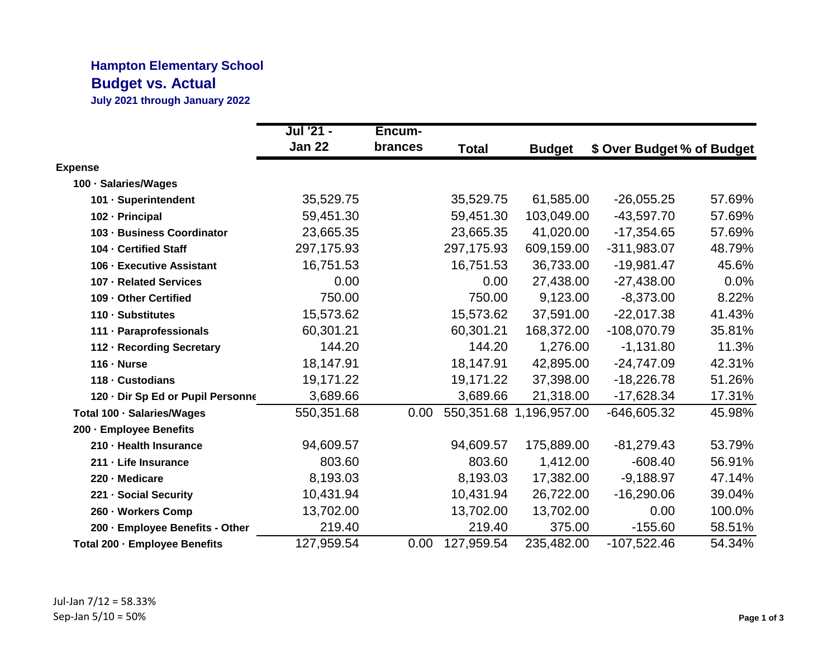## **Hampton Elementary School Budget vs. Actual**

**July 2021 through January 2022**

|                                   | Jul '21 -     | Encum-  |              |                         |                            |        |
|-----------------------------------|---------------|---------|--------------|-------------------------|----------------------------|--------|
|                                   | <b>Jan 22</b> | brances | <b>Total</b> | <b>Budget</b>           | \$ Over Budget % of Budget |        |
| <b>Expense</b>                    |               |         |              |                         |                            |        |
| 100 · Salaries/Wages              |               |         |              |                         |                            |        |
| 101 · Superintendent              | 35,529.75     |         | 35,529.75    | 61,585.00               | $-26,055.25$               | 57.69% |
| 102 - Principal                   | 59,451.30     |         | 59,451.30    | 103,049.00              | $-43,597.70$               | 57.69% |
| 103 - Business Coordinator        | 23,665.35     |         | 23,665.35    | 41,020.00               | $-17,354.65$               | 57.69% |
| 104 - Certified Staff             | 297,175.93    |         | 297,175.93   | 609,159.00              | $-311,983.07$              | 48.79% |
| 106 - Executive Assistant         | 16,751.53     |         | 16,751.53    | 36,733.00               | $-19,981.47$               | 45.6%  |
| 107 - Related Services            | 0.00          |         | 0.00         | 27,438.00               | $-27,438.00$               | 0.0%   |
| 109 - Other Certified             | 750.00        |         | 750.00       | 9,123.00                | $-8,373.00$                | 8.22%  |
| 110 - Substitutes                 | 15,573.62     |         | 15,573.62    | 37,591.00               | $-22,017.38$               | 41.43% |
| 111 - Paraprofessionals           | 60,301.21     |         | 60,301.21    | 168,372.00              | $-108,070.79$              | 35.81% |
| 112 - Recording Secretary         | 144.20        |         | 144.20       | 1,276.00                | $-1,131.80$                | 11.3%  |
| $116 - Nurse$                     | 18,147.91     |         | 18,147.91    | 42,895.00               | $-24,747.09$               | 42.31% |
| 118 - Custodians                  | 19,171.22     |         | 19,171.22    | 37,398.00               | $-18,226.78$               | 51.26% |
| 120 - Dir Sp Ed or Pupil Personne | 3,689.66      |         | 3,689.66     | 21,318.00               | $-17,628.34$               | 17.31% |
| Total 100 · Salaries/Wages        | 550,351.68    | 0.00    |              | 550,351.68 1,196,957.00 | $-646,605.32$              | 45.98% |
| 200 - Employee Benefits           |               |         |              |                         |                            |        |
| 210 - Health Insurance            | 94,609.57     |         | 94,609.57    | 175,889.00              | $-81,279.43$               | 53.79% |
| 211 - Life Insurance              | 803.60        |         | 803.60       | 1,412.00                | $-608.40$                  | 56.91% |
| 220 - Medicare                    | 8,193.03      |         | 8,193.03     | 17,382.00               | $-9,188.97$                | 47.14% |
| 221 - Social Security             | 10,431.94     |         | 10,431.94    | 26,722.00               | $-16,290.06$               | 39.04% |
| 260 - Workers Comp                | 13,702.00     |         | 13,702.00    | 13,702.00               | 0.00                       | 100.0% |
| 200 - Employee Benefits - Other   | 219.40        |         | 219.40       | 375.00                  | $-155.60$                  | 58.51% |
| Total 200 - Employee Benefits     | 127,959.54    | 0.00    | 127,959.54   | 235,482.00              | $-107,522.46$              | 54.34% |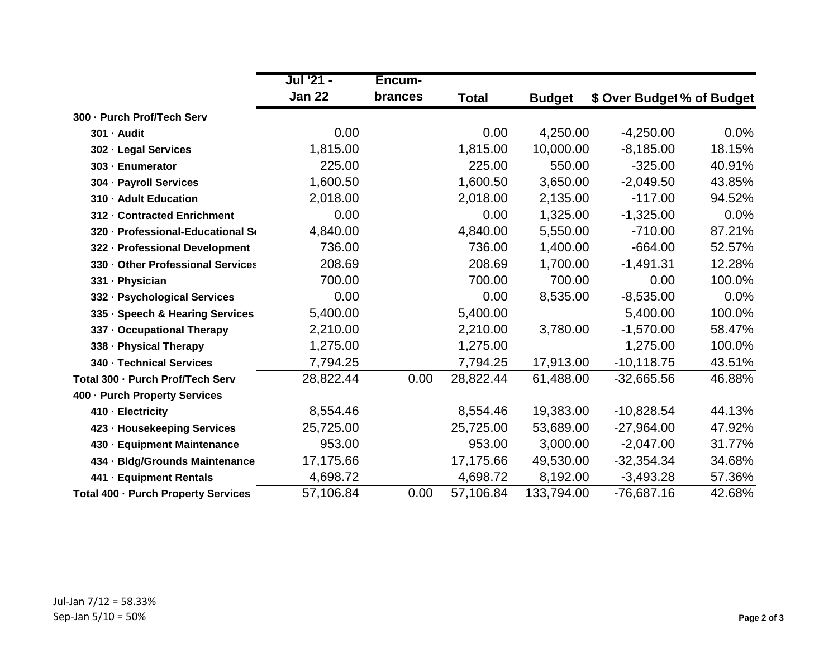|                                     | Jul '21 -     | Encum-         |              |               |                            |         |
|-------------------------------------|---------------|----------------|--------------|---------------|----------------------------|---------|
|                                     | <b>Jan 22</b> | <b>brances</b> | <b>Total</b> | <b>Budget</b> | \$ Over Budget % of Budget |         |
| 300 - Purch Prof/Tech Serv          |               |                |              |               |                            |         |
| 301 - Audit                         | 0.00          |                | 0.00         | 4,250.00      | $-4,250.00$                | $0.0\%$ |
| 302 - Legal Services                | 1,815.00      |                | 1,815.00     | 10,000.00     | $-8,185.00$                | 18.15%  |
| 303 - Enumerator                    | 225.00        |                | 225.00       | 550.00        | $-325.00$                  | 40.91%  |
| 304 - Payroll Services              | 1,600.50      |                | 1,600.50     | 3,650.00      | $-2,049.50$                | 43.85%  |
| 310 - Adult Education               | 2,018.00      |                | 2,018.00     | 2,135.00      | $-117.00$                  | 94.52%  |
| 312 - Contracted Enrichment         | 0.00          |                | 0.00         | 1,325.00      | $-1,325.00$                | 0.0%    |
| 320 - Professional-Educational So   | 4,840.00      |                | 4,840.00     | 5,550.00      | $-710.00$                  | 87.21%  |
| 322 - Professional Development      | 736.00        |                | 736.00       | 1,400.00      | $-664.00$                  | 52.57%  |
| 330 - Other Professional Services   | 208.69        |                | 208.69       | 1,700.00      | $-1,491.31$                | 12.28%  |
| 331 · Physician                     | 700.00        |                | 700.00       | 700.00        | 0.00                       | 100.0%  |
| 332 - Psychological Services        | 0.00          |                | 0.00         | 8,535.00      | $-8,535.00$                | 0.0%    |
| 335 · Speech & Hearing Services     | 5,400.00      |                | 5,400.00     |               | 5,400.00                   | 100.0%  |
| 337 - Occupational Therapy          | 2,210.00      |                | 2,210.00     | 3,780.00      | $-1,570.00$                | 58.47%  |
| 338 - Physical Therapy              | 1,275.00      |                | 1,275.00     |               | 1,275.00                   | 100.0%  |
| 340 - Technical Services            | 7,794.25      |                | 7,794.25     | 17,913.00     | $-10,118.75$               | 43.51%  |
| Total 300 - Purch Prof/Tech Serv    | 28,822.44     | 0.00           | 28,822.44    | 61,488.00     | $-32,665.56$               | 46.88%  |
| 400 - Purch Property Services       |               |                |              |               |                            |         |
| 410 - Electricity                   | 8,554.46      |                | 8,554.46     | 19,383.00     | $-10,828.54$               | 44.13%  |
| 423 - Housekeeping Services         | 25,725.00     |                | 25,725.00    | 53,689.00     | $-27,964.00$               | 47.92%  |
| 430 - Equipment Maintenance         | 953.00        |                | 953.00       | 3,000.00      | $-2,047.00$                | 31.77%  |
| 434 - Bldg/Grounds Maintenance      | 17,175.66     |                | 17,175.66    | 49,530.00     | $-32,354.34$               | 34.68%  |
| 441 - Equipment Rentals             | 4,698.72      |                | 4,698.72     | 8,192.00      | $-3,493.28$                | 57.36%  |
| Total 400 - Purch Property Services | 57,106.84     | 0.00           | 57,106.84    | 133,794.00    | -76,687.16                 | 42.68%  |